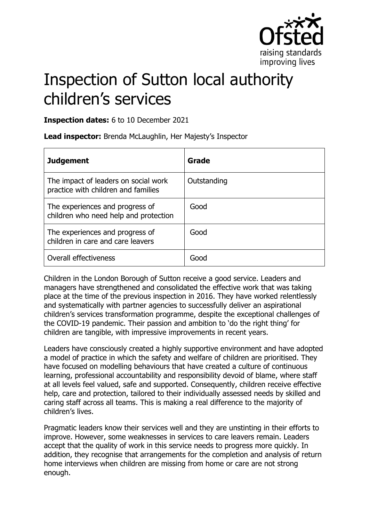

# Inspection of Sutton local authority children's services

**Inspection dates:** 6 to 10 December 2021

**Lead inspector:** Brenda McLaughlin, Her Majesty's Inspector

| <b>Judgement</b>                                                            | Grade       |
|-----------------------------------------------------------------------------|-------------|
| The impact of leaders on social work<br>practice with children and families | Outstanding |
| The experiences and progress of<br>children who need help and protection    | Good        |
| The experiences and progress of<br>children in care and care leavers        | Good        |
| Overall effectiveness                                                       | Good        |

Children in the London Borough of Sutton receive a good service. Leaders and managers have strengthened and consolidated the effective work that was taking place at the time of the previous inspection in 2016. They have worked relentlessly and systematically with partner agencies to successfully deliver an aspirational children's services transformation programme, despite the exceptional challenges of the COVID-19 pandemic. Their passion and ambition to 'do the right thing' for children are tangible, with impressive improvements in recent years.

Leaders have consciously created a highly supportive environment and have adopted a model of practice in which the safety and welfare of children are prioritised. They have focused on modelling behaviours that have created a culture of continuous learning, professional accountability and responsibility devoid of blame, where staff at all levels feel valued, safe and supported. Consequently, children receive effective help, care and protection, tailored to their individually assessed needs by skilled and caring staff across all teams. This is making a real difference to the majority of children's lives.

Pragmatic leaders know their services well and they are unstinting in their efforts to improve. However, some weaknesses in services to care leavers remain. Leaders accept that the quality of work in this service needs to progress more quickly. In addition, they recognise that arrangements for the completion and analysis of return home interviews when children are missing from home or care are not strong enough.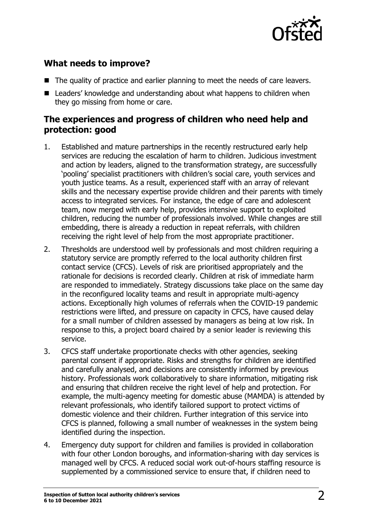

## **What needs to improve?**

- The quality of practice and earlier planning to meet the needs of care leavers.
- Leaders' knowledge and understanding about what happens to children when they go missing from home or care.

### **The experiences and progress of children who need help and protection: good**

- 1. Established and mature partnerships in the recently restructured early help services are reducing the escalation of harm to children. Judicious investment and action by leaders, aligned to the transformation strategy, are successfully 'pooling' specialist practitioners with children's social care, youth services and youth justice teams. As a result, experienced staff with an array of relevant skills and the necessary expertise provide children and their parents with timely access to integrated services. For instance, the edge of care and adolescent team, now merged with early help, provides intensive support to exploited children, reducing the number of professionals involved. While changes are still embedding, there is already a reduction in repeat referrals, with children receiving the right level of help from the most appropriate practitioner.
- 2. Thresholds are understood well by professionals and most children requiring a statutory service are promptly referred to the local authority children first contact service (CFCS). Levels of risk are prioritised appropriately and the rationale for decisions is recorded clearly. Children at risk of immediate harm are responded to immediately. Strategy discussions take place on the same day in the reconfigured locality teams and result in appropriate multi-agency actions. Exceptionally high volumes of referrals when the COVID-19 pandemic restrictions were lifted, and pressure on capacity in CFCS, have caused delay for a small number of children assessed by managers as being at low risk. In response to this, a project board chaired by a senior leader is reviewing this service.
- 3. CFCS staff undertake proportionate checks with other agencies, seeking parental consent if appropriate. Risks and strengths for children are identified and carefully analysed, and decisions are consistently informed by previous history. Professionals work collaboratively to share information, mitigating risk and ensuring that children receive the right level of help and protection. For example, the multi-agency meeting for domestic abuse (MAMDA) is attended by relevant professionals, who identify tailored support to protect victims of domestic violence and their children. Further integration of this service into CFCS is planned, following a small number of weaknesses in the system being identified during the inspection.
- 4. Emergency duty support for children and families is provided in collaboration with four other London boroughs, and information-sharing with day services is managed well by CFCS. A reduced social work out-of-hours staffing resource is supplemented by a commissioned service to ensure that, if children need to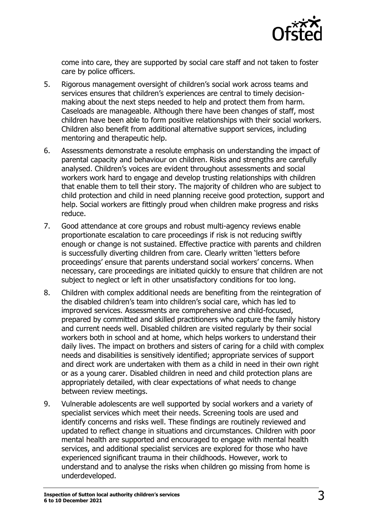

come into care, they are supported by social care staff and not taken to foster care by police officers.

- 5. Rigorous management oversight of children's social work across teams and services ensures that children's experiences are central to timely decisionmaking about the next steps needed to help and protect them from harm. Caseloads are manageable. Although there have been changes of staff, most children have been able to form positive relationships with their social workers. Children also benefit from additional alternative support services, including mentoring and therapeutic help.
- 6. Assessments demonstrate a resolute emphasis on understanding the impact of parental capacity and behaviour on children. Risks and strengths are carefully analysed. Children's voices are evident throughout assessments and social workers work hard to engage and develop trusting relationships with children that enable them to tell their story. The majority of children who are subject to child protection and child in need planning receive good protection, support and help. Social workers are fittingly proud when children make progress and risks reduce.
- 7. Good attendance at core groups and robust multi-agency reviews enable proportionate escalation to care proceedings if risk is not reducing swiftly enough or change is not sustained. Effective practice with parents and children is successfully diverting children from care. Clearly written 'letters before proceedings' ensure that parents understand social workers' concerns. When necessary, care proceedings are initiated quickly to ensure that children are not subject to neglect or left in other unsatisfactory conditions for too long.
- 8. Children with complex additional needs are benefiting from the reintegration of the disabled children's team into children's social care, which has led to improved services. Assessments are comprehensive and child-focused, prepared by committed and skilled practitioners who capture the family history and current needs well. Disabled children are visited regularly by their social workers both in school and at home, which helps workers to understand their daily lives. The impact on brothers and sisters of caring for a child with complex needs and disabilities is sensitively identified; appropriate services of support and direct work are undertaken with them as a child in need in their own right or as a young carer. Disabled children in need and child protection plans are appropriately detailed, with clear expectations of what needs to change between review meetings.
- 9. Vulnerable adolescents are well supported by social workers and a variety of specialist services which meet their needs. Screening tools are used and identify concerns and risks well. These findings are routinely reviewed and updated to reflect change in situations and circumstances. Children with poor mental health are supported and encouraged to engage with mental health services, and additional specialist services are explored for those who have experienced significant trauma in their childhoods. However, work to understand and to analyse the risks when children go missing from home is underdeveloped.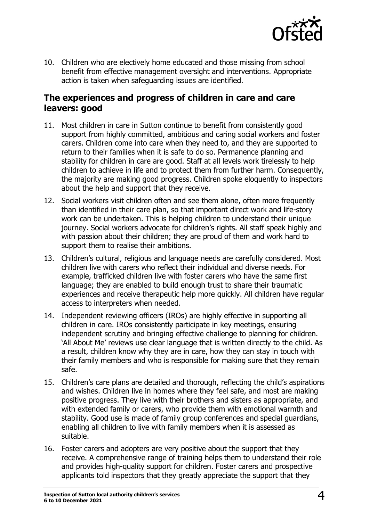

10. Children who are electively home educated and those missing from school benefit from effective management oversight and interventions. Appropriate action is taken when safeguarding issues are identified.

#### **The experiences and progress of children in care and care leavers: good**

- 11. Most children in care in Sutton continue to benefit from consistently good support from highly committed, ambitious and caring social workers and foster carers. Children come into care when they need to, and they are supported to return to their families when it is safe to do so. Permanence planning and stability for children in care are good. Staff at all levels work tirelessly to help children to achieve in life and to protect them from further harm. Consequently, the majority are making good progress. Children spoke eloquently to inspectors about the help and support that they receive.
- 12. Social workers visit children often and see them alone, often more frequently than identified in their care plan, so that important direct work and life-story work can be undertaken. This is helping children to understand their unique journey. Social workers advocate for children's rights. All staff speak highly and with passion about their children; they are proud of them and work hard to support them to realise their ambitions.
- 13. Children's cultural, religious and language needs are carefully considered. Most children live with carers who reflect their individual and diverse needs. For example, trafficked children live with foster carers who have the same first language; they are enabled to build enough trust to share their traumatic experiences and receive therapeutic help more quickly. All children have regular access to interpreters when needed.
- 14. Independent reviewing officers (IROs) are highly effective in supporting all children in care. IROs consistently participate in key meetings, ensuring independent scrutiny and bringing effective challenge to planning for children. 'All About Me' reviews use clear language that is written directly to the child. As a result, children know why they are in care, how they can stay in touch with their family members and who is responsible for making sure that they remain safe.
- 15. Children's care plans are detailed and thorough, reflecting the child's aspirations and wishes. Children live in homes where they feel safe, and most are making positive progress. They live with their brothers and sisters as appropriate, and with extended family or carers, who provide them with emotional warmth and stability. Good use is made of family group conferences and special guardians, enabling all children to live with family members when it is assessed as suitable.
- 16. Foster carers and adopters are very positive about the support that they receive. A comprehensive range of training helps them to understand their role and provides high-quality support for children. Foster carers and prospective applicants told inspectors that they greatly appreciate the support that they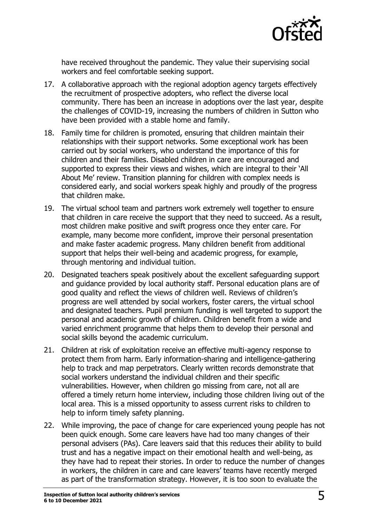

have received throughout the pandemic. They value their supervising social workers and feel comfortable seeking support.

- 17. A collaborative approach with the regional adoption agency targets effectively the recruitment of prospective adopters, who reflect the diverse local community. There has been an increase in adoptions over the last year, despite the challenges of COVID-19, increasing the numbers of children in Sutton who have been provided with a stable home and family.
- 18. Family time for children is promoted, ensuring that children maintain their relationships with their support networks. Some exceptional work has been carried out by social workers, who understand the importance of this for children and their families. Disabled children in care are encouraged and supported to express their views and wishes, which are integral to their 'All About Me' review. Transition planning for children with complex needs is considered early, and social workers speak highly and proudly of the progress that children make.
- 19. The virtual school team and partners work extremely well together to ensure that children in care receive the support that they need to succeed. As a result, most children make positive and swift progress once they enter care. For example, many become more confident, improve their personal presentation and make faster academic progress. Many children benefit from additional support that helps their well-being and academic progress, for example, through mentoring and individual tuition.
- 20. Designated teachers speak positively about the excellent safeguarding support and guidance provided by local authority staff. Personal education plans are of good quality and reflect the views of children well. Reviews of children's progress are well attended by social workers, foster carers, the virtual school and designated teachers. Pupil premium funding is well targeted to support the personal and academic growth of children. Children benefit from a wide and varied enrichment programme that helps them to develop their personal and social skills beyond the academic curriculum.
- 21. Children at risk of exploitation receive an effective multi-agency response to protect them from harm. Early information-sharing and intelligence-gathering help to track and map perpetrators. Clearly written records demonstrate that social workers understand the individual children and their specific vulnerabilities. However, when children go missing from care, not all are offered a timely return home interview, including those children living out of the local area. This is a missed opportunity to assess current risks to children to help to inform timely safety planning.
- 22. While improving, the pace of change for care experienced young people has not been quick enough. Some care leavers have had too many changes of their personal advisers (PAs). Care leavers said that this reduces their ability to build trust and has a negative impact on their emotional health and well-being, as they have had to repeat their stories. In order to reduce the number of changes in workers, the children in care and care leavers' teams have recently merged as part of the transformation strategy. However, it is too soon to evaluate the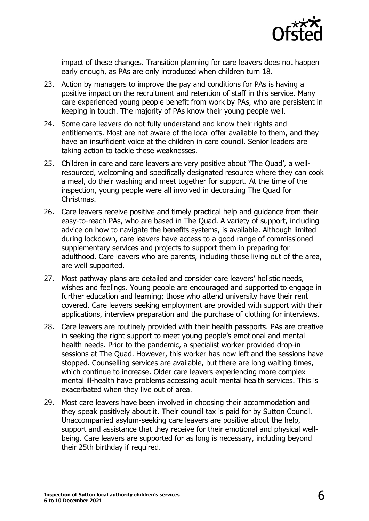

impact of these changes. Transition planning for care leavers does not happen early enough, as PAs are only introduced when children turn 18.

- 23. Action by managers to improve the pay and conditions for PAs is having a positive impact on the recruitment and retention of staff in this service. Many care experienced young people benefit from work by PAs, who are persistent in keeping in touch. The majority of PAs know their young people well.
- 24. Some care leavers do not fully understand and know their rights and entitlements. Most are not aware of the local offer available to them, and they have an insufficient voice at the children in care council. Senior leaders are taking action to tackle these weaknesses.
- 25. Children in care and care leavers are very positive about 'The Quad', a wellresourced, welcoming and specifically designated resource where they can cook a meal, do their washing and meet together for support. At the time of the inspection, young people were all involved in decorating The Quad for Christmas.
- 26. Care leavers receive positive and timely practical help and guidance from their easy-to-reach PAs, who are based in The Quad. A variety of support, including advice on how to navigate the benefits systems, is available. Although limited during lockdown, care leavers have access to a good range of commissioned supplementary services and projects to support them in preparing for adulthood. Care leavers who are parents, including those living out of the area, are well supported.
- 27. Most pathway plans are detailed and consider care leavers' holistic needs, wishes and feelings. Young people are encouraged and supported to engage in further education and learning; those who attend university have their rent covered. Care leavers seeking employment are provided with support with their applications, interview preparation and the purchase of clothing for interviews.
- 28. Care leavers are routinely provided with their health passports. PAs are creative in seeking the right support to meet young people's emotional and mental health needs. Prior to the pandemic, a specialist worker provided drop-in sessions at The Quad. However, this worker has now left and the sessions have stopped. Counselling services are available, but there are long waiting times, which continue to increase. Older care leavers experiencing more complex mental ill-health have problems accessing adult mental health services. This is exacerbated when they live out of area.
- 29. Most care leavers have been involved in choosing their accommodation and they speak positively about it. Their council tax is paid for by Sutton Council. Unaccompanied asylum-seeking care leavers are positive about the help, support and assistance that they receive for their emotional and physical wellbeing. Care leavers are supported for as long is necessary, including beyond their 25th birthday if required.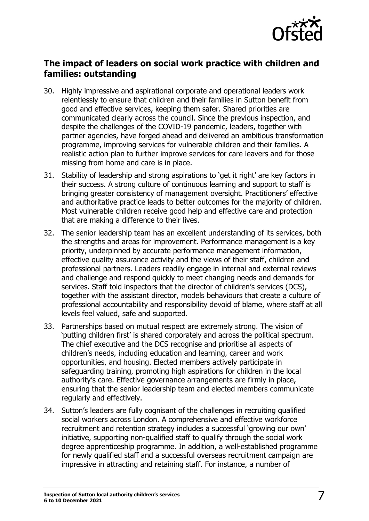

## **The impact of leaders on social work practice with children and families: outstanding**

- 30. Highly impressive and aspirational corporate and operational leaders work relentlessly to ensure that children and their families in Sutton benefit from good and effective services, keeping them safer. Shared priorities are communicated clearly across the council. Since the previous inspection, and despite the challenges of the COVID-19 pandemic, leaders, together with partner agencies, have forged ahead and delivered an ambitious transformation programme, improving services for vulnerable children and their families. A realistic action plan to further improve services for care leavers and for those missing from home and care is in place.
- 31. Stability of leadership and strong aspirations to 'get it right' are key factors in their success. A strong culture of continuous learning and support to staff is bringing greater consistency of management oversight. Practitioners' effective and authoritative practice leads to better outcomes for the majority of children. Most vulnerable children receive good help and effective care and protection that are making a difference to their lives.
- 32. The senior leadership team has an excellent understanding of its services, both the strengths and areas for improvement. Performance management is a key priority, underpinned by accurate performance management information, effective quality assurance activity and the views of their staff, children and professional partners. Leaders readily engage in internal and external reviews and challenge and respond quickly to meet changing needs and demands for services. Staff told inspectors that the director of children's services (DCS), together with the assistant director, models behaviours that create a culture of professional accountability and responsibility devoid of blame, where staff at all levels feel valued, safe and supported.
- 33. Partnerships based on mutual respect are extremely strong. The vision of 'putting children first' is shared corporately and across the political spectrum. The chief executive and the DCS recognise and prioritise all aspects of children's needs, including education and learning, career and work opportunities, and housing. Elected members actively participate in safeguarding training, promoting high aspirations for children in the local authority's care. Effective governance arrangements are firmly in place, ensuring that the senior leadership team and elected members communicate regularly and effectively.
- 34. Sutton's leaders are fully cognisant of the challenges in recruiting qualified social workers across London. A comprehensive and effective workforce recruitment and retention strategy includes a successful 'growing our own' initiative, supporting non-qualified staff to qualify through the social work degree apprenticeship programme. In addition, a well-established programme for newly qualified staff and a successful overseas recruitment campaign are impressive in attracting and retaining staff. For instance, a number of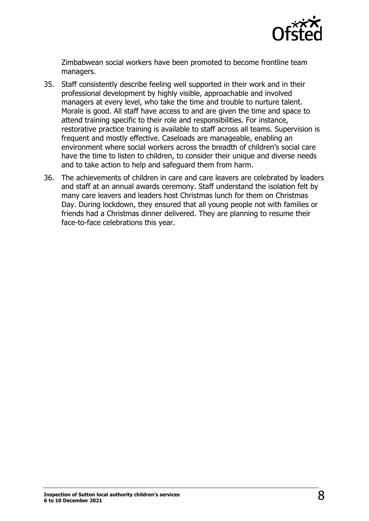

Zimbabwean social workers have been promoted to become frontline team managers.

- 35. Staff consistently describe feeling well supported in their work and in their professional development by highly visible, approachable and involved managers at every level, who take the time and trouble to nurture talent. Morale is good. All staff have access to and are given the time and space to attend training specific to their role and responsibilities. For instance, restorative practice training is available to staff across all teams. Supervision is frequent and mostly effective. Caseloads are manageable, enabling an environment where social workers across the breadth of children's social care have the time to listen to children, to consider their unique and diverse needs and to take action to help and safeguard them from harm.
- 36. The achievements of children in care and care leavers are celebrated by leaders and staff at an annual awards ceremony. Staff understand the isolation felt by many care leavers and leaders host Christmas lunch for them on Christmas Day. During lockdown, they ensured that all young people not with families or friends had a Christmas dinner delivered. They are planning to resume their face-to-face celebrations this year.